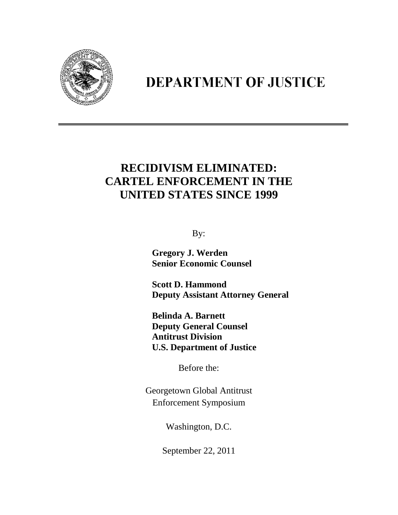

## **DEPARTMENT OF JUSTICE**

## **RECIDIVISM ELIMINATED: CARTEL ENFORCEMENT IN THE UNITED STATES SINCE 1999**

By:

 **Gregory J. Werden Senior Economic Counsel**

 **Scott D. Hammond Deputy Assistant Attorney General**

 **Belinda A. Barnett Deputy General Counsel Antitrust Division U.S. Department of Justice**

Before the:

Georgetown Global Antitrust Enforcement Symposium

Washington, D.C.

September 22, 2011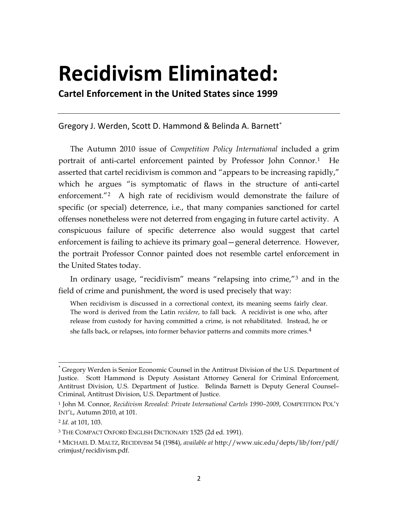## **Recidivism Eliminated:**

**Cartel Enforcement in the United States since 1999**

Gregory J. Werden, Scott D. Hammond & Belinda A. Barnett[\\*](#page-1-0)

The Autumn 2010 issue of *Competition Policy International* included a grim portrait of anti-cartel enforcement painted by Professor John Connor[.1](#page-1-1) He asserted that cartel recidivism is common and "appears to be increasing rapidly," which he argues "is symptomatic of flaws in the structure of anti-cartel enforcement."[2](#page-1-2) A high rate of recidivism would demonstrate the failure of specific (or special) deterrence, i.e., that many companies sanctioned for cartel offenses nonetheless were not deterred from engaging in future cartel activity. A conspicuous failure of specific deterrence also would suggest that cartel enforcement is failing to achieve its primary goal—general deterrence. However, the portrait Professor Connor painted does not resemble cartel enforcement in the United States today.

In ordinary usage, "recidivism" means "relapsing into crime,"[3](#page-1-3) and in the field of crime and punishment, the word is used precisely that way:

When recidivism is discussed in a correctional context, its meaning seems fairly clear. The word is derived from the Latin *recidere*, to fall back. A recidivist is one who, after release from custody for having committed a crime, is not rehabilitated. Instead, he or she falls back, or relapses, into former behavior patterns and commits more crimes.<sup>[4](#page-1-4)</sup>

 $\overline{\phantom{0}}$ 

<span id="page-1-0"></span><sup>\*</sup> Gregory Werden is Senior Economic Counsel in the Antitrust Division of the U.S. Department of Justice. Scott Hammond is Deputy Assistant Attorney General for Criminal Enforcement, Antitrust Division, U.S. Department of Justice. Belinda Barnett is Deputy General Counsel– Criminal, Antitrust Division, U.S. Department of Justice.

<span id="page-1-1"></span><sup>1</sup> John M. Connor, *Recidivism Revealed: Private International Cartels 1990–2009*, COMPETITION POL'Y INT'L, Autumn 2010, at 101.

<span id="page-1-2"></span><sup>2</sup> *Id.* at 101, 103.

<span id="page-1-3"></span><sup>3</sup> THE COMPACT OXFORD ENGLISH DICTIONARY 1525 (2d ed. 1991).

<span id="page-1-4"></span><sup>4</sup> MICHAEL D. MALTZ, RECIDIVISM 54 (1984), *available at* http://www.uic.edu/depts/lib/forr/pdf/ crimjust/recidivism.pdf.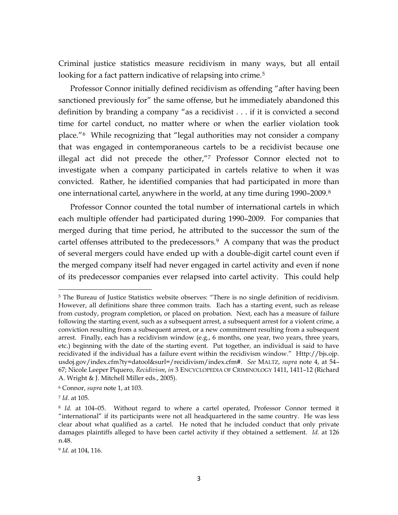Criminal justice statistics measure recidivism in many ways, but all entail looking for a fact pattern indicative of relapsing into crime.<sup>[5](#page-2-0)</sup>

Professor Connor initially defined recidivism as offending "after having been sanctioned previously for" the same offense, but he immediately abandoned this definition by branding a company "as a recidivist . . . if it is convicted a second time for cartel conduct, no matter where or when the earlier violation took place." [6](#page-2-1) While recognizing that "legal authorities may not consider a company that was engaged in contemporaneous cartels to be a recidivist because one illegal act did not precede the other,"[7](#page-2-2) Professor Connor elected not to investigate when a company participated in cartels relative to when it was convicted. Rather, he identified companies that had participated in more than one international cartel, anywhere in the world, at any time during 1990–2009.[8](#page-2-3)

Professor Connor counted the total number of international cartels in which each multiple offender had participated during 1990–2009. For companies that merged during that time period, he attributed to the successor the sum of the cartel offenses attributed to the predecessors.[9](#page-2-4) A company that was the product of several mergers could have ended up with a double-digit cartel count even if the merged company itself had never engaged in cartel activity and even if none of its predecessor companies ever relapsed into cartel activity. This could help

ı

<span id="page-2-0"></span><sup>&</sup>lt;sup>5</sup> The Bureau of Justice Statistics website observes: "There is no single definition of recidivism. However, all definitions share three common traits. Each has a starting event, such as release from custody, program completion, or placed on probation. Next, each has a measure of failure following the starting event, such as a subsequent arrest, a subsequent arrest for a violent crime, a conviction resulting from a subsequent arrest, or a new commitment resulting from a subsequent arrest. Finally, each has a recidivism window (e.g., 6 months, one year, two years, three years, etc.) beginning with the date of the starting event. Put together, an individual is said to have recidivated if the individual has a failure event within the recidivism window." Http://bjs.ojp. usdoj.gov/index.cfm?ty=datool&surl=/recidivism/index.cfm#. *See* MALTZ, *supra* note 4, at 54– 67; Nicole Leeper Piquero, *Recidivism*, *in* 3 ENCYCLOPEDIA OF CRIMINOLOGY 1411, 1411–12 (Richard A. Wright & J. Mitchell Miller eds., 2005).

<span id="page-2-1"></span><sup>6</sup> Connor, *supra* note 1, at 103.

<span id="page-2-2"></span><sup>7</sup> *Id.* at 105.

<span id="page-2-3"></span><sup>8</sup> *Id.* at 104–05. Without regard to where a cartel operated, Professor Connor termed it "international" if its participants were not all headquartered in the same country. He was less clear about what qualified as a cartel. He noted that he included conduct that only private damages plaintiffs alleged to have been cartel activity if they obtained a settlement. *Id.* at 126 n.48.

<span id="page-2-4"></span><sup>9</sup> *Id.* at 104, 116.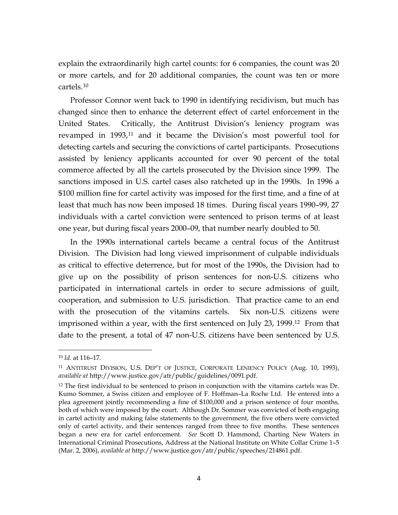explain the extraordinarily high cartel counts: for 6 companies, the count was 20 or more cartels, and for 20 additional companies, the count was ten or more cartels.[10](#page-3-0)

Professor Connor went back to 1990 in identifying recidivism, but much has changed since then to enhance the deterrent effect of cartel enforcement in the United States. Critically, the Antitrust Division's leniency program was revamped in 1993, [11](#page-3-1) and it became the Division's most powerful tool for detecting cartels and securing the convictions of cartel participants. Prosecutions assisted by leniency applicants accounted for over 90 percent of the total commerce affected by all the cartels prosecuted by the Division since 1999. The sanctions imposed in U.S. cartel cases also ratcheted up in the 1990s. In 1996 a \$100 million fine for cartel activity was imposed for the first time, and a fine of at least that much has now been imposed 18 times. During fiscal years 1990–99, 27 individuals with a cartel conviction were sentenced to prison terms of at least one year, but during fiscal years 2000–09, that number nearly doubled to 50.

In the 1990s international cartels became a central focus of the Antitrust Division. The Division had long viewed imprisonment of culpable individuals as critical to effective deterrence, but for most of the 1990s, the Division had to give up on the possibility of prison sentences for non-U.S. citizens who participated in international cartels in order to secure admissions of guilt, cooperation, and submission to U.S. jurisdiction. That practice came to an end with the prosecution of the vitamins cartels. Six non-U.S. citizens were imprisoned within a year, with the first sentenced on July 23, 1999. [12](#page-3-2) From that date to the present, a total of 47 non-U.S. citizens have been sentenced by U.S.

l

<span id="page-3-0"></span><sup>10</sup> *Id.* at 116–17.

<span id="page-3-1"></span><sup>11</sup> ANTITRUST DIVISION, U.S. DEP'T OF JUSTICE, CORPORATE LENIENCY POLICY (Aug. 10, 1993), *available at* http://www.justice.gov/atr/public/guidelines/0091.pdf.

<span id="page-3-2"></span><sup>&</sup>lt;sup>12</sup> The first individual to be sentenced to prison in conjunction with the vitamins cartels was Dr. Kumo Sommer, a Swiss citizen and employee of F. Hoffman–La Roche Ltd. He entered into a plea agreement jointly recommending a fine of \$100,000 and a prison sentence of four months, both of which were imposed by the court. Although Dr. Sommer was convicted of both engaging in cartel activity and making false statements to the government, the five others were convicted only of cartel activity, and their sentences ranged from three to five months. These sentences began a new era for cartel enforcement. *See* Scott D. Hammond, Charting New Waters in International Criminal Prosecutions, Address at the National Institute on White Collar Crime 1–5 (Mar. 2, 2006), *available at* http://www.justice.gov/atr/public/speeches/214861.pdf.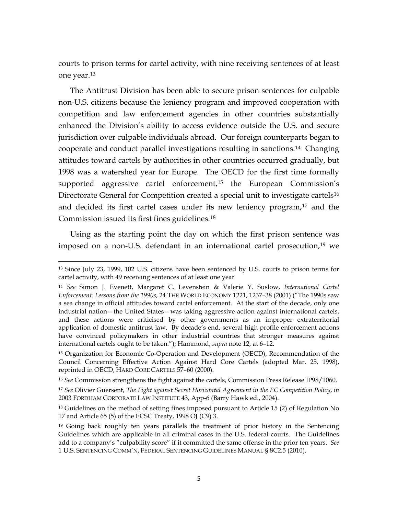courts to prison terms for cartel activity, with nine receiving sentences of at least one year.[13](#page-4-0)

The Antitrust Division has been able to secure prison sentences for culpable non-U.S. citizens because the leniency program and improved cooperation with competition and law enforcement agencies in other countries substantially enhanced the Division's ability to access evidence outside the U.S. and secure jurisdiction over culpable individuals abroad. Our foreign counterparts began to cooperate and conduct parallel investigations resulting in sanctions.[14](#page-4-1) Changing attitudes toward cartels by authorities in other countries occurred gradually, but 1998 was a watershed year for Europe. The OECD for the first time formally supported aggressive cartel enforcement,<sup>[15](#page-4-2)</sup> the European Commission's Directorate General for Competition created a special unit to investigate cartels<sup>[16](#page-4-3)</sup> and decided its first cartel cases under its new leniency program,<sup>[17](#page-4-4)</sup> and the Commission issued its first fines guidelines.[18](#page-4-5)

Using as the starting point the day on which the first prison sentence was imposed on a non-U.S. defendant in an international cartel prosecution, [19](#page-4-6) we

 $\overline{\phantom{0}}$ 

<span id="page-4-0"></span><sup>13</sup> Since July 23, 1999, 102 U.S. citizens have been sentenced by U.S. courts to prison terms for cartel activity, with 49 receiving sentences of at least one year

<span id="page-4-1"></span><sup>14</sup> *See* Simon J. Evenett, Margaret C. Levenstein & Valerie Y. Suslow, *International Cartel Enforcement: Lessons from the 1990s*, 24 THE WORLD ECONOMY 1221, 1237–38 (2001) ("The 1990s saw a sea change in official attitudes toward cartel enforcement. At the start of the decade, only one industrial nation—the United States—was taking aggressive action against international cartels, and these actions were criticised by other governments as an improper extraterritorial application of domestic antitrust law. By decade's end, several high profile enforcement actions have convinced policymakers in other industrial countries that stronger measures against international cartels ought to be taken."); Hammond, *supra* note 12, at 6–12.

<span id="page-4-2"></span><sup>&</sup>lt;sup>15</sup> Organization for Economic Co-Operation and Development (OECD), Recommendation of the Council Concerning Effective Action Against Hard Core Cartels (adopted Mar. 25, 1998), reprinted in OECD, HARD CORE CARTELS 57–60 (2000).

<span id="page-4-3"></span><sup>16</sup> *See* Commission strengthens the fight against the cartels, Commission Press Release IP98/1060.

<span id="page-4-4"></span><sup>17</sup> *See* Olivier Guersent, *The Fight against Secret Horizontal Agreement in the EC Competition Policy*, *in* 2003 FORDHAM CORPORATE LAW INSTITUTE 43, App-6 (Barry Hawk ed., 2004).

<span id="page-4-5"></span><sup>&</sup>lt;sup>18</sup> Guidelines on the method of setting fines imposed pursuant to Article 15 (2) of Regulation No 17 and Article 65 (5) of the ECSC Treaty, 1998 OJ (C9) 3.

<span id="page-4-6"></span><sup>&</sup>lt;sup>19</sup> Going back roughly ten years parallels the treatment of prior history in the Sentencing Guidelines which are applicable in all criminal cases in the U.S. federal courts. The Guidelines add to a company's "culpability score" if it committed the same offense in the prior ten years. *See* 1 U.S. SENTENCING COMM'N, FEDERAL SENTENCING GUIDELINES MANUAL § 8C2.5 (2010).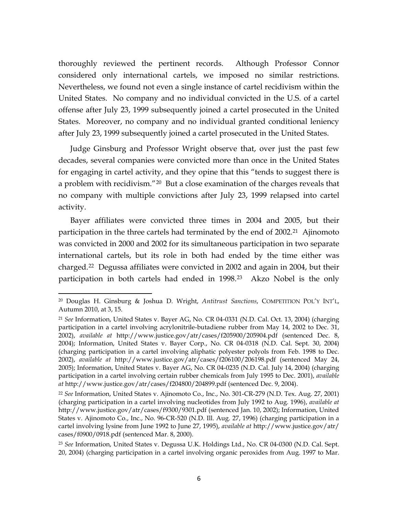thoroughly reviewed the pertinent records. Although Professor Connor considered only international cartels, we imposed no similar restrictions. Nevertheless, we found not even a single instance of cartel recidivism within the United States. No company and no individual convicted in the U.S. of a cartel offense after July 23, 1999 subsequently joined a cartel prosecuted in the United States. Moreover, no company and no individual granted conditional leniency after July 23, 1999 subsequently joined a cartel prosecuted in the United States.

Judge Ginsburg and Professor Wright observe that, over just the past few decades, several companies were convicted more than once in the United States for engaging in cartel activity, and they opine that this "tends to suggest there is a problem with recidivism."<sup>[20](#page-5-0)</sup> But a close examination of the charges reveals that no company with multiple convictions after July 23, 1999 relapsed into cartel activity.

Bayer affiliates were convicted three times in 2004 and 2005, but their participation in the three cartels had terminated by the end of 2002. [21](#page-5-1) Ajinomoto was convicted in 2000 and 2002 for its simultaneous participation in two separate international cartels, but its role in both had ended by the time either was charged.[22](#page-5-2) Degussa affiliates were convicted in 2002 and again in 2004, but their participation in both cartels had ended in 1998.<sup>[23](#page-5-3)</sup> Akzo Nobel is the only

ı

<span id="page-5-0"></span><sup>20</sup> Douglas H. Ginsburg & Joshua D. Wright, *Antitrust Sanctions*, COMPETITION POL'Y INT'L, Autumn 2010, at 3, 15.

<span id="page-5-1"></span><sup>21</sup> *See* Information, United States v. Bayer AG, No. CR 04-0331 (N.D. Cal. Oct. 13, 2004) (charging participation in a cartel involving acrylonitrile-butadiene rubber from May 14, 2002 to Dec. 31, 2002), *available at* http://www.justice.gov/atr/cases/f205900/205904.pdf (sentenced Dec. 8, 2004); Information, United States v. Bayer Corp., No. CR 04-0318 (N.D. Cal. Sept. 30, 2004) (charging participation in a cartel involving aliphatic polyester polyols from Feb. 1998 to Dec. 2002), *available at* http://www.justice.gov/atr/cases/f206100/206198.pdf (sentenced May 24, 2005); Information, United States v. Bayer AG, No. CR 04-0235 (N.D. Cal. July 14, 2004) (charging participation in a cartel involving certain rubber chemicals from July 1995 to Dec. 2001), *available at* http://www.justice.gov/atr/cases/f204800/204899.pdf (sentenced Dec. 9, 2004).

<span id="page-5-2"></span><sup>22</sup> *See* Information, United States v. Ajinomoto Co., Inc., No. 301-CR-279 (N.D. Tex. Aug. 27, 2001) (charging participation in a cartel involving nucleotides from July 1992 to Aug. 1996), *available at* http://www.justice.gov/atr/cases/f9300/9301.pdf (sentenced Jan. 10, 2002); Information, United States v. Ajinomoto Co., Inc., No. 96-CR-520 (N.D. Ill. Aug. 27, 1996) (charging participation in a cartel involving lysine from June 1992 to June 27, 1995), *available at* http://www.justice.gov/atr/ cases/f0900/0918.pdf (sentenced Mar. 8, 2000).

<span id="page-5-3"></span><sup>23</sup> *See* Information, United States v. Degussa U.K. Holdings Ltd., No. CR 04-0300 (N.D. Cal. Sept. 20, 2004) (charging participation in a cartel involving organic peroxides from Aug. 1997 to Mar.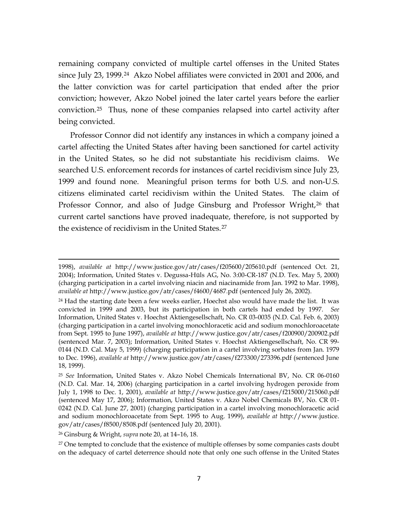remaining company convicted of multiple cartel offenses in the United States since July 23, 1999.<sup>24</sup> Akzo Nobel affiliates were convicted in 2001 and 2006, and the latter conviction was for cartel participation that ended after the prior conviction; however, Akzo Nobel joined the later cartel years before the earlier conviction.[25](#page-6-1) Thus, none of these companies relapsed into cartel activity after being convicted.

Professor Connor did not identify any instances in which a company joined a cartel affecting the United States after having been sanctioned for cartel activity in the United States, so he did not substantiate his recidivism claims. We searched U.S. enforcement records for instances of cartel recidivism since July 23, 1999 and found none. Meaningful prison terms for both U.S. and non-U.S. citizens eliminated cartel recidivism within the United States. The claim of Professor Connor, and also of Judge Ginsburg and Professor Wright,<sup>[26](#page-6-2)</sup> that current cartel sanctions have proved inadequate, therefore, is not supported by the existence of recidivism in the United States.[27](#page-6-3)

<span id="page-6-2"></span><sup>26</sup> Ginsburg & Wright, *supra* note 20, at 14–16, 18.

ı

<span id="page-6-3"></span><sup>27</sup> One tempted to conclude that the existence of multiple offenses by some companies casts doubt on the adequacy of cartel deterrence should note that only one such offense in the United States

<sup>1998),</sup> *available at* http://www.justice.gov/atr/cases/f205600/205610.pdf (sentenced Oct. 21, 2004); Information, United States v. Degussa-Hüls AG, No. 3:00-CR-187 (N.D. Tex. May 5, 2000) (charging participation in a cartel involving niacin and niacinamide from Jan. 1992 to Mar. 1998), *available at* http://www.justice.gov/atr/cases/f4600/4687.pdf (sentenced July 26, 2002).

<span id="page-6-0"></span> $24$  Had the starting date been a few weeks earlier, Hoechst also would have made the list. It was convicted in 1999 and 2003, but its participation in both cartels had ended by 1997. *See* Information, United States v. Hoechst Aktiengesellschaft, No. CR 03-0035 (N.D. Cal. Feb. 6, 2003) (charging participation in a cartel involving monochloracetic acid and sodium monochloroacetate from Sept. 1995 to June 1997), *available at* http://www.justice.gov/atr/cases/f200900/200902.pdf (sentenced Mar. 7, 2003); Information, United States v. Hoechst Aktiengesellschaft, No. CR 99- 0144 (N.D. Cal. May 5, 1999) (charging participation in a cartel involving sorbates from Jan. 1979 to Dec. 1996), *available at* http://www.justice.gov/atr/cases/f273300/273396.pdf (sentenced June 18, 1999).

<span id="page-6-1"></span><sup>25</sup> *See* Information, United States v. Akzo Nobel Chemicals International BV, No. CR 06-0160 (N.D. Cal. Mar. 14, 2006) (charging participation in a cartel involving hydrogen peroxide from July 1, 1998 to Dec. 1, 2001), *available at* http://www.justice.gov/atr/cases/f215000/215060.pdf (sentenced May 17, 2006); Information, United States v. Akzo Nobel Chemicals BV, No. CR 01- 0242 (N.D. Cal. June 27, 2001) (charging participation in a cartel involving monochloracetic acid and sodium monochloroacetate from Sept. 1995 to Aug. 1999), *available at* http://www.justice. gov/atr/cases/f8500/8508.pdf (sentenced July 20, 2001).